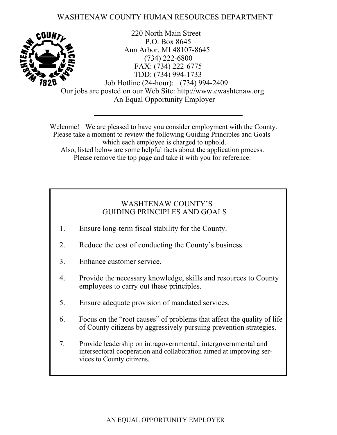### WASHTENAW COUNTY HUMAN RESOURCES DEPARTMENT



220 North Main Street P.O. Box 8645 Ann Arbor, MI 48107-8645 (734) 222-6800 FAX: (734) 222-6775 TDD: (734) 994-1733 Job Hotline (24-hour): (734) 994-2409 Our jobs are posted on our Web Site: http://www.ewashtenaw.org An Equal Opportunity Employer

Welcome! We are pleased to have you consider employment with the County. Please take a moment to review the following Guiding Principles and Goals which each employee is charged to uphold. Also, listed below are some helpful facts about the application process. Please remove the top page and take it with you for reference.

### WASHTENAW COUNTY'S GUIDING PRINCIPLES AND GOALS

- 1. Ensure long-term fiscal stability for the County.
- 2. Reduce the cost of conducting the County's business.
- 3. Enhance customer service.
- 4. Provide the necessary knowledge, skills and resources to County employees to carry out these principles.
- 5. Ensure adequate provision of mandated services.
- 6. Focus on the "root causes" of problems that affect the quality of life of County citizens by aggressively pursuing prevention strategies.
- 7 . Provide leadership on intragovernmental, intergovernmental and intersectoral cooperation and collaboration aimed at improving services to County citizens.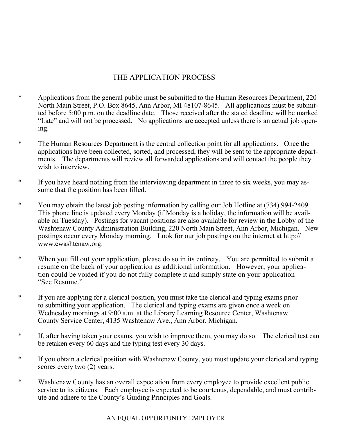### THE APPLICATION PROCESS

- \* Applications from the general public must be submitted to the Human Resources Department, 220 North Main Street, P.O. Box 8645, Ann Arbor, MI 48107-8645. All applications must be submitted before 5:00 p.m. on the deadline date. Those received after the stated deadline will be marked "Late" and will not be processed. No applications are accepted unless there is an actual job opening.
- \* The Human Resources Department is the central collection point for all applications. Once the applications have been collected, sorted, and processed, they will be sent to the appropriate departments. The departments will review all forwarded applications and will contact the people they wish to interview.
- \* If you have heard nothing from the interviewing department in three to six weeks, you may assume that the position has been filled.
- \* You may obtain the latest job posting information by calling our Job Hotline at (734) 994-2409. This phone line is updated every Monday (if Monday is a holiday, the information will be available on Tuesday). Postings for vacant positions are also available for review in the Lobby of the Washtenaw County Administration Building, 220 North Main Street, Ann Arbor, Michigan. New postings occur every Monday morning. Look for our job postings on the internet at http:// www.ewashtenaw.org.
- \* When you fill out your application, please do so in its entirety. You are permitted to submit a resume on the back of your application as additional information. However, your application could be voided if you do not fully complete it and simply state on your application "See Resume."
- \* If you are applying for a clerical position, you must take the clerical and typing exams prior to submitting your application. The clerical and typing exams are given once a week on Wednesday mornings at 9:00 a.m. at the Library Learning Resource Center, Washtenaw County Service Center, 4135 Washtenaw Ave., Ann Arbor, Michigan.
- \* If, after having taken your exams, you wish to improve them, you may do so. The clerical test can be retaken every 60 days and the typing test every 30 days.
- \* If you obtain a clerical position with Washtenaw County, you must update your clerical and typing scores every two (2) years.
- \* Washtenaw County has an overall expectation from every employee to provide excellent public service to its citizens. Each employee is expected to be courteous, dependable, and must contribute and adhere to the County's Guiding Principles and Goals.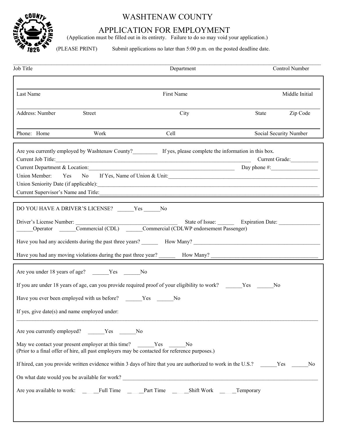

# WASHTENAW COUNTY

### APPLICATION FOR EMPLOYMENT

(Application must be filled out in its entirety. Failure to do so may void your application.)

(PLEASE PRINT) Submit applications no later than 5:00 p.m. on the posted deadline date.

| Job Title                                                                                                                                                                | Department                                                                                                     | Control Number                   |
|--------------------------------------------------------------------------------------------------------------------------------------------------------------------------|----------------------------------------------------------------------------------------------------------------|----------------------------------|
|                                                                                                                                                                          |                                                                                                                |                                  |
| Last Name                                                                                                                                                                | First Name                                                                                                     | Middle Initial                   |
| Address: Number<br>Street                                                                                                                                                | City                                                                                                           | Zip Code<br>State                |
|                                                                                                                                                                          |                                                                                                                |                                  |
| Phone: Home<br>Work                                                                                                                                                      | Cell                                                                                                           | Social Security Number           |
| Are you currently employed by Washtenaw County?<br>If yes, please complete the information in this box.                                                                  |                                                                                                                |                                  |
| Current Job Title:                                                                                                                                                       |                                                                                                                | Current Grade:                   |
| Current Department & Location:<br>Union Member: Yes No                                                                                                                   | If Yes, Name of Union & Unit: 1997 March 2014 1997 March 2014 1998 1999 March 2014 1999 1999 March 2014 1999 1 | Day phone $\#$ :                 |
| Union Seniority Date (if applicable): 1999.                                                                                                                              |                                                                                                                |                                  |
| Current Supervisor's Name and Title:                                                                                                                                     |                                                                                                                |                                  |
|                                                                                                                                                                          |                                                                                                                |                                  |
| DO YOU HAVE A DRIVER'S LICENSE? ______Yes ______No                                                                                                                       |                                                                                                                |                                  |
| Driver's License Number:                                                                                                                                                 |                                                                                                                | State of Issue: Expiration Date: |
| Sude of Issue. Example: COMMERCIAL COLUMN Commercial (CDL)<br>Commercial (CDL) Commercial (CDLWP endorsement Passenger)                                                  |                                                                                                                |                                  |
|                                                                                                                                                                          |                                                                                                                |                                  |
|                                                                                                                                                                          |                                                                                                                |                                  |
|                                                                                                                                                                          |                                                                                                                |                                  |
| Are you under 18 years of age? ______Yes ______No                                                                                                                        |                                                                                                                |                                  |
| If you are under 18 years of age, can you provide required proof of your eligibility to work? Yes                                                                        |                                                                                                                | N <sub>0</sub>                   |
|                                                                                                                                                                          |                                                                                                                |                                  |
| If yes, give date(s) and name employed under:                                                                                                                            |                                                                                                                |                                  |
| Are you currently employed? ______Yes ______No                                                                                                                           |                                                                                                                |                                  |
| May we contact your present employer at this time? _______Yes _______No<br>(Prior to a final offer of hire, all past employers may be contacted for reference purposes.) |                                                                                                                |                                  |
| If hired, can you provide written evidence within 3 days of hire that you are authorized to work in the U.S.?                                                            |                                                                                                                | N <sub>0</sub>                   |
|                                                                                                                                                                          |                                                                                                                |                                  |
| Are you available to work: _____Full Time _____Part Time _____Shift Work _____Temporary                                                                                  |                                                                                                                |                                  |
|                                                                                                                                                                          |                                                                                                                |                                  |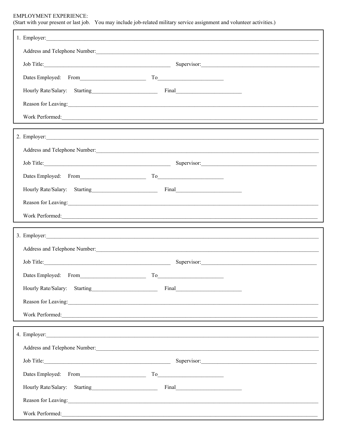#### EMPLOYMENT EXPERIENCE:

(Start with your present or last job. You may include job-related military service assignment and volunteer activities.)

| 1. Employer: The contract of the contract of the contract of the contract of the contract of the contract of the contract of the contract of the contract of the contract of the contract of the contract of the contract of t |                                                                                                                                                                                                                                |
|--------------------------------------------------------------------------------------------------------------------------------------------------------------------------------------------------------------------------------|--------------------------------------------------------------------------------------------------------------------------------------------------------------------------------------------------------------------------------|
|                                                                                                                                                                                                                                |                                                                                                                                                                                                                                |
|                                                                                                                                                                                                                                | Job Title: Supervisor: Supervisor: Supervisor: Supervisor: Supervisor: Supervisor: Supervisor: Supervisor: Supervisor: Supervisor: Supervisor: Supervisor: Supervisor: Supervisor: Supervisor: Supervisor: Supervisor: Supervi |
| Dates Employed: From To                                                                                                                                                                                                        |                                                                                                                                                                                                                                |
| Hourly Rate/Salary: Starting Final Final                                                                                                                                                                                       |                                                                                                                                                                                                                                |
| Reason for Leaving:                                                                                                                                                                                                            |                                                                                                                                                                                                                                |
|                                                                                                                                                                                                                                |                                                                                                                                                                                                                                |
| 2. Employer:                                                                                                                                                                                                                   |                                                                                                                                                                                                                                |
|                                                                                                                                                                                                                                |                                                                                                                                                                                                                                |
|                                                                                                                                                                                                                                | Job Title: Supervisor: Supervisor: Supervisor: Supervisor: Supervisor: Supervisor: Supervisor: Supervisor: Supervisor: Supervisor: Supervisor: Supervisor: Supervisor: Supervisor: Supervisor: Supervisor: Supervisor: Supervi |
| Dates Employed: From To                                                                                                                                                                                                        |                                                                                                                                                                                                                                |
| Hourly Rate/Salary: Starting Final Final                                                                                                                                                                                       |                                                                                                                                                                                                                                |
| Reason for Leaving:                                                                                                                                                                                                            |                                                                                                                                                                                                                                |
|                                                                                                                                                                                                                                |                                                                                                                                                                                                                                |
|                                                                                                                                                                                                                                |                                                                                                                                                                                                                                |
| Work Performed:                                                                                                                                                                                                                |                                                                                                                                                                                                                                |
|                                                                                                                                                                                                                                | 3. Employer:                                                                                                                                                                                                                   |
|                                                                                                                                                                                                                                |                                                                                                                                                                                                                                |
|                                                                                                                                                                                                                                | Supervisor:                                                                                                                                                                                                                    |
| Dates Employed: From                                                                                                                                                                                                           | To                                                                                                                                                                                                                             |
|                                                                                                                                                                                                                                | Final                                                                                                                                                                                                                          |
| Reason for Leaving:                                                                                                                                                                                                            |                                                                                                                                                                                                                                |
| Work Performed:                                                                                                                                                                                                                |                                                                                                                                                                                                                                |
|                                                                                                                                                                                                                                |                                                                                                                                                                                                                                |
|                                                                                                                                                                                                                                | Address and Telephone Number: 1988 and Telephone Number: 1988 and Telephone Number: 1988 and Telephone Number:                                                                                                                 |
|                                                                                                                                                                                                                                | Job Title: Supervisor: Supervisor: Supervisor: Supervisor: Supervisor: Supervisor: Supervisor: Supervisor: Supervisor: Supervisor: Supervisor: Supervisor: Supervisor: Supervisor: Supervisor: Supervisor: Supervisor: Supervi |
| Dates Employed: From To To                                                                                                                                                                                                     |                                                                                                                                                                                                                                |
| Hourly Rate/Salary: Starting Final Final                                                                                                                                                                                       |                                                                                                                                                                                                                                |
| Reason for Leaving:                                                                                                                                                                                                            |                                                                                                                                                                                                                                |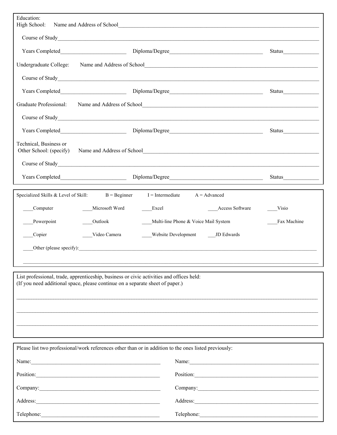| Education:                                                                        |                          |                                                                                                       |             |  |  |  |
|-----------------------------------------------------------------------------------|--------------------------|-------------------------------------------------------------------------------------------------------|-------------|--|--|--|
| High School:                                                                      |                          |                                                                                                       |             |  |  |  |
|                                                                                   |                          | Course of Study<br><u>Course</u> of Study                                                             |             |  |  |  |
|                                                                                   |                          |                                                                                                       | Status      |  |  |  |
| Undergraduate College:                                                            |                          |                                                                                                       |             |  |  |  |
|                                                                                   |                          | Course of Study<br><u>Course</u> of Study                                                             |             |  |  |  |
|                                                                                   |                          |                                                                                                       | Status      |  |  |  |
| Graduate Professional:<br>Name and Address of School<br><u>Contract of School</u> |                          |                                                                                                       |             |  |  |  |
|                                                                                   |                          | Course of Study<br><u>Course</u> of Study                                                             |             |  |  |  |
|                                                                                   | Diploma/Degree<br>Status |                                                                                                       |             |  |  |  |
| Technical, Business or<br>Other School: (specify)                                 |                          |                                                                                                       |             |  |  |  |
|                                                                                   |                          | Course of Study<br><u>Course</u> of Study                                                             |             |  |  |  |
|                                                                                   |                          |                                                                                                       |             |  |  |  |
| Specialized Skills & Level of Skill:                                              | $B = B$ eginner          | $I =$ Intermediate<br>$A = Advanced$                                                                  |             |  |  |  |
| Computer                                                                          | Microsoft Word           | <b>Access Software</b><br>Excel                                                                       | Visio       |  |  |  |
| Powerpoint                                                                        | Outlook                  | Multi-line Phone & Voice Mail System                                                                  | Fax Machine |  |  |  |
| Copier                                                                            | Video Camera             | Website Development ____ JD Edwards                                                                   |             |  |  |  |
|                                                                                   |                          | Other (please specify):                                                                               |             |  |  |  |
|                                                                                   |                          |                                                                                                       |             |  |  |  |
| (If you need additional space, please continue on a separate sheet of paper.)     |                          | List professional, trade, apprenticeship, business or civic activities and offices held:              |             |  |  |  |
|                                                                                   |                          |                                                                                                       |             |  |  |  |
|                                                                                   |                          |                                                                                                       |             |  |  |  |
|                                                                                   |                          |                                                                                                       |             |  |  |  |
|                                                                                   |                          | Please list two professional/work references other than or in addition to the ones listed previously: |             |  |  |  |
| Name: Name:                                                                       |                          | Name:                                                                                                 |             |  |  |  |
| Position: Position:                                                               |                          | Position:                                                                                             |             |  |  |  |
| Company:                                                                          |                          | Company:                                                                                              |             |  |  |  |

| Company:   | Company:   |
|------------|------------|
| Address:   | Address:   |
| Telephone: | Telephone: |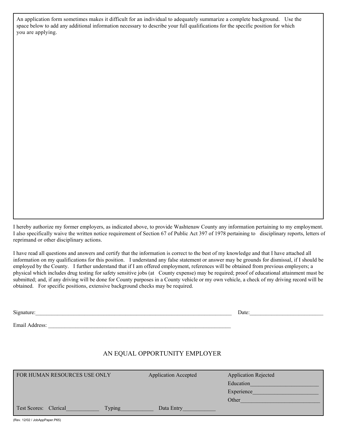An application form sometimes makes it difficult for an individual to adequately summarize a complete background. Use the space below to add any additional information necessary to describe your full qualifications for the specific position for which you are applying.

I hereby authorize my former employers, as indicated above, to provide Washtenaw County any information pertaining to my employment. I also specifically waive the written notice requirement of Section 67 of Public Act 397 of 1978 pertaining to disciplinary reports, letters of reprimand or other disciplinary actions.

I have read all questions and answers and certify that the information is correct to the best of my knowledge and that I have attached all information on my qualifications for this position. I understand any false statement or answer may be grounds for dismissal, if I should be employed by the County. I further understand that if I am offered employment, references will be obtained from previous employers; a physical which includes drug testing for safety sensitive jobs (at County expense) may be required; proof of educational attainment must be submitted; and, if any driving will be done for County purposes in a County vehicle or my own vehicle, a check of my driving record will be obtained. For specific positions, extensive background checks may be required.

Signature:\_\_\_\_\_\_\_\_\_\_\_\_\_\_\_\_\_\_\_\_\_\_\_\_\_\_\_\_\_\_\_\_\_\_\_\_\_\_\_\_\_\_\_\_\_\_\_\_\_\_\_\_\_\_\_\_\_\_\_\_\_\_\_\_\_\_\_\_\_\_\_\_ Date:\_\_\_\_\_\_\_\_\_\_\_\_\_\_\_\_\_\_\_\_\_\_\_\_\_\_\_

Email Address: \_\_\_\_\_\_\_\_\_\_\_\_\_\_\_\_\_\_\_\_\_\_\_\_\_\_\_\_\_\_\_\_\_\_\_\_\_\_\_\_\_\_\_\_\_\_\_\_\_\_\_\_\_\_\_\_\_\_\_\_\_\_\_\_\_\_\_

#### AN EQUAL OPPORTUNITY EMPLOYER

| FOR HUMAN RESOURCES USE ONLY           | <b>Application Accepted</b> | <b>Application Rejected</b> |
|----------------------------------------|-----------------------------|-----------------------------|
|                                        |                             | Education                   |
|                                        |                             | Experience                  |
|                                        |                             | Other                       |
| <b>Test Scores:</b> Clerical<br>Typing | Data Entry                  |                             |